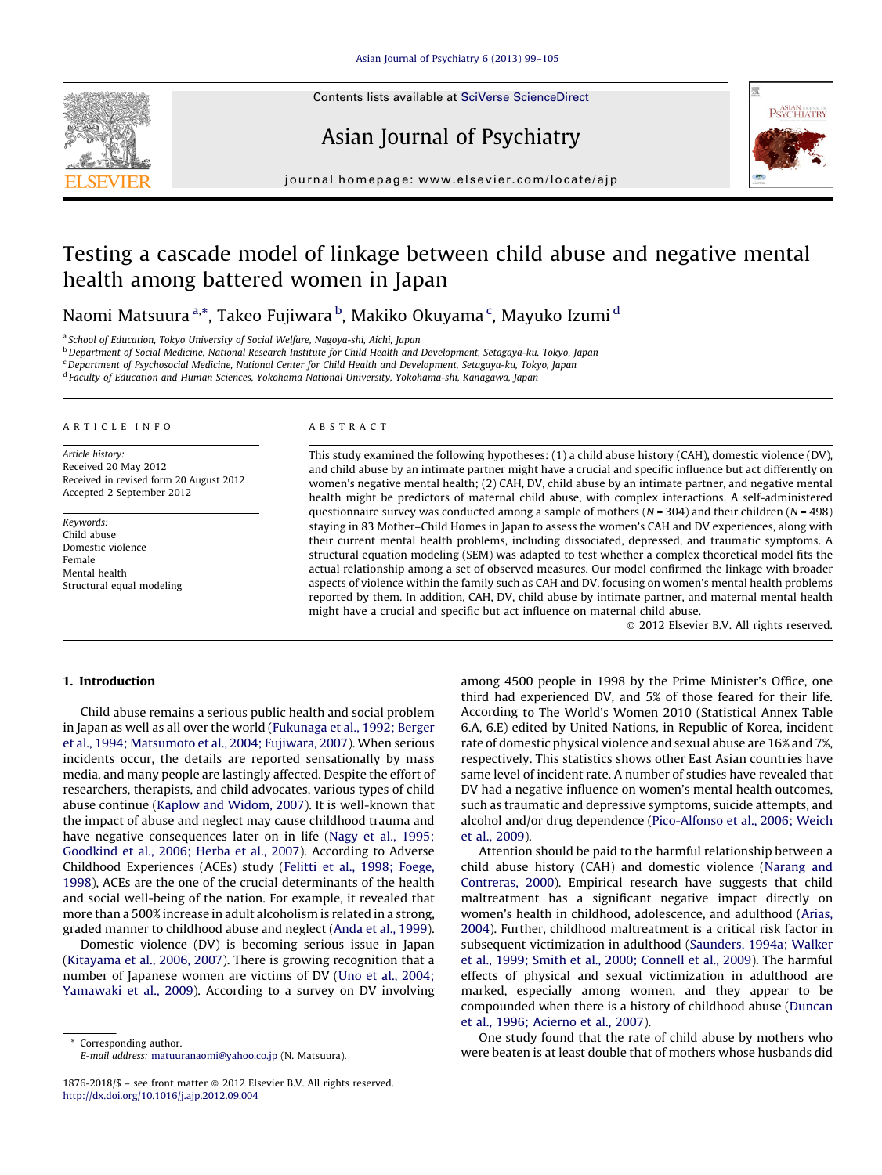Contents lists available at SciVerse [ScienceDirect](http://www.sciencedirect.com/science/journal/18762018)







journal homepage: www.elsevier.com/locate/ajp

# Testing a cascade model of linkage between child abuse and negative mental health among battered women in Japan

Naomi Matsuura <sup>a,</sup>\*, Takeo Fujiwara <sup>b</sup>, Makiko Okuyama <sup>c</sup>, Mayuko Izumi <sup>d</sup>

<sup>a</sup> School of Education, Tokyo University of Social Welfare, Nagoya-shi, Aichi, Japan

**b** Department of Social Medicine, National Research Institute for Child Health and Development, Setagaya-ku, Tokyo, Japan

<sup>c</sup> Department of Psychosocial Medicine, National Center for Child Health and Development, Setagaya-ku, Tokyo, Japan

<sup>d</sup> Faculty of Education and Human Sciences, Yokohama National University, Yokohama-shi, Kanagawa, Japan

#### A R T I C L E I N F O

Article history: Received 20 May 2012 Received in revised form 20 August 2012 Accepted 2 September 2012

Keywords: Child abuse Domestic violence Female Mental health Structural equal modeling

#### A B S T R A C T

This study examined the following hypotheses: (1) a child abuse history (CAH), domestic violence (DV), and child abuse by an intimate partner might have a crucial and specific influence but act differently on women's negative mental health; (2) CAH, DV, child abuse by an intimate partner, and negative mental health might be predictors of maternal child abuse, with complex interactions. A self-administered questionnaire survey was conducted among a sample of mothers ( $N = 304$ ) and their children ( $N = 498$ ) staying in 83 Mother–Child Homes in Japan to assess the women's CAH and DV experiences, along with their current mental health problems, including dissociated, depressed, and traumatic symptoms. A structural equation modeling (SEM) was adapted to test whether a complex theoretical model fits the actual relationship among a set of observed measures. Our model confirmed the linkage with broader aspects of violence within the family such as CAH and DV, focusing on women's mental health problems reported by them. In addition, CAH, DV, child abuse by intimate partner, and maternal mental health might have a crucial and specific but act influence on maternal child abuse.

- 2012 Elsevier B.V. All rights reserved.

# 1. Introduction

Child abuse remains a serious public health and social problem in Japan as well as all over the world [\(Fukunaga](#page--1-0) et al., 1992; Berger et al., 1994; [Matsumoto](#page--1-0) et al., 2004; Fujiwara, 2007). When serious incidents occur, the details are reported sensationally by mass media, and many people are lastingly affected. Despite the effort of researchers, therapists, and child advocates, various types of child abuse continue (Kaplow and [Widom,](#page--1-0) 2007). It is well-known that the impact of abuse and neglect may cause childhood trauma and have negative consequences later on in life (Nagy et al., [1995;](#page--1-0) [Goodkind](#page--1-0) et al., 2006; Herba et al., 2007). According to Adverse Childhood Experiences (ACEs) study (Felitti et al., 1998; [Foege,](#page--1-0) [1998\)](#page--1-0), ACEs are the one of the crucial determinants of the health and social well-being of the nation. For example, it revealed that more than a 500% increase in adult alcoholism is related in a strong, graded manner to childhood abuse and neglect (Anda et al., [1999\)](#page--1-0).

Domestic violence (DV) is becoming serious issue in Japan ([Kitayama](#page--1-0) et al., 2006, 2007). There is growing recognition that a number of Japanese women are victims of DV (Uno et al., [2004;](#page--1-0) [Yamawaki](#page--1-0) et al., 2009). According to a survey on DV involving

Corresponding author. E-mail address: [matuuranaomi@yahoo.co.jp](mailto:matuuranaomi@yahoo.co.jp) (N. Matsuura). among 4500 people in 1998 by the Prime Minister's Office, one third had experienced DV, and 5% of those feared for their life. According to The World's Women 2010 (Statistical Annex Table 6.A, 6.E) edited by United Nations, in Republic of Korea, incident rate of domestic physical violence and sexual abuse are 16% and 7%, respectively. This statistics shows other East Asian countries have same level of incident rate. A number of studies have revealed that DV had a negative influence on women's mental health outcomes, such as traumatic and depressive symptoms, suicide attempts, and alcohol and/or drug dependence ([Pico-Alfonso](#page--1-0) et al., 2006; Weich et al., [2009](#page--1-0)).

Attention should be paid to the harmful relationship between a child abuse history (CAH) and domestic violence [\(Narang](#page--1-0) and [Contreras,](#page--1-0) 2000). Empirical research have suggests that child maltreatment has a significant negative impact directly on women's health in childhood, adolescence, and adulthood [\(Arias,](#page--1-0) [2004\)](#page--1-0). Further, childhood maltreatment is a critical risk factor in subsequent victimization in adulthood [\(Saunders,](#page--1-0) 1994a; Walker et al., 1999; Smith et al., 2000; [Connell](#page--1-0) et al., 2009). The harmful effects of physical and sexual victimization in adulthood are marked, especially among women, and they appear to be compounded when there is a history of childhood abuse [\(Duncan](#page--1-0) et al., 1996; [Acierno](#page--1-0) et al., 2007).

One study found that the rate of child abuse by mothers who were beaten is at least double that of mothers whose husbands did

<sup>1876-2018/\$ -</sup> see front matter @ 2012 Elsevier B.V. All rights reserved. <http://dx.doi.org/10.1016/j.ajp.2012.09.004>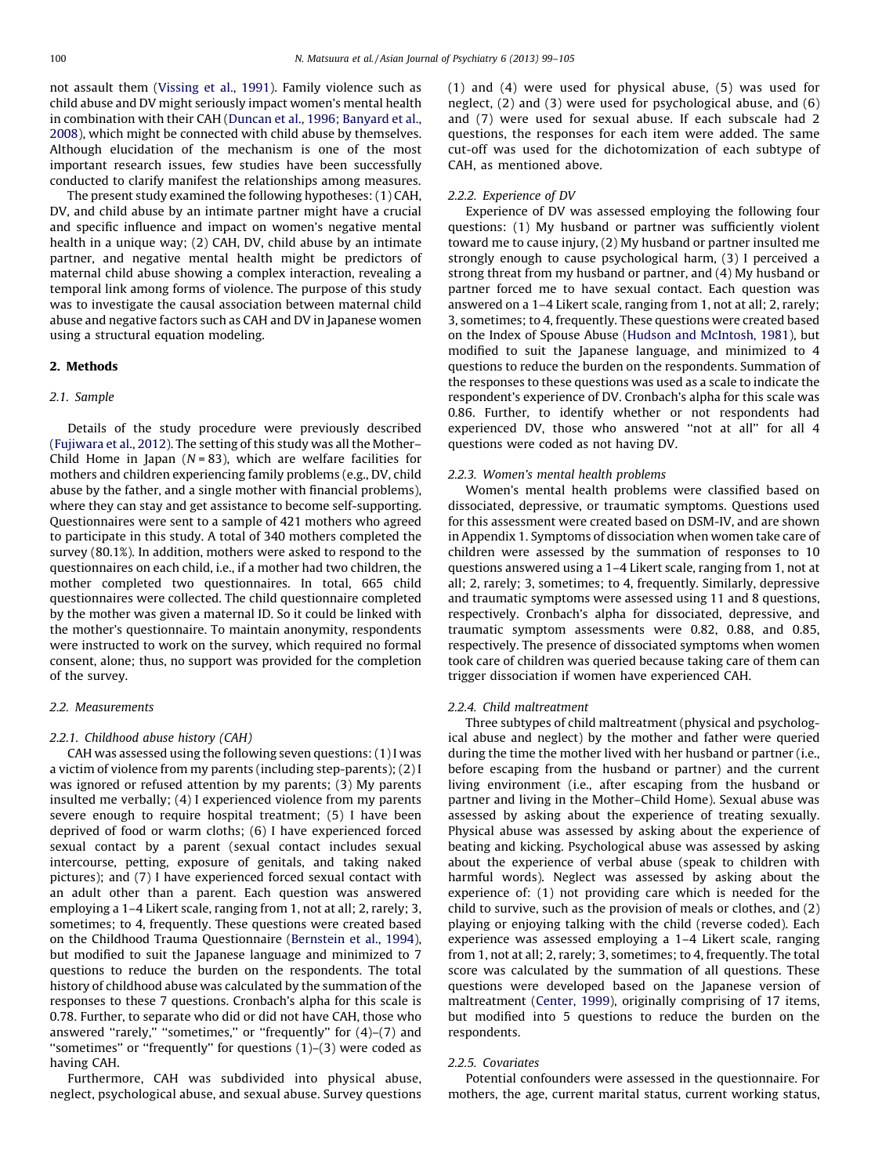not assault them ([Vissing](#page--1-0) et al., 1991). Family violence such as child abuse and DV might seriously impact women's mental health in combination with their CAH (Duncan et al., 1996; [Banyard](#page--1-0) et al., [2008\)](#page--1-0), which might be connected with child abuse by themselves. Although elucidation of the mechanism is one of the most important research issues, few studies have been successfully conducted to clarify manifest the relationships among measures.

The present study examined the following hypotheses: (1) CAH, DV, and child abuse by an intimate partner might have a crucial and specific influence and impact on women's negative mental health in a unique way; (2) CAH, DV, child abuse by an intimate partner, and negative mental health might be predictors of maternal child abuse showing a complex interaction, revealing a temporal link among forms of violence. The purpose of this study was to investigate the causal association between maternal child abuse and negative factors such as CAH and DV in Japanese women using a structural equation modeling.

### 2. Methods

#### 2.1. Sample

Details of the study procedure were previously described ([Fujiwara](#page--1-0) et al., 2012). The setting of this study was all the Mother– Child Home in Japan ( $N = 83$ ), which are welfare facilities for mothers and children experiencing family problems (e.g., DV, child abuse by the father, and a single mother with financial problems), where they can stay and get assistance to become self-supporting. Questionnaires were sent to a sample of 421 mothers who agreed to participate in this study. A total of 340 mothers completed the survey (80.1%). In addition, mothers were asked to respond to the questionnaires on each child, i.e., if a mother had two children, the mother completed two questionnaires. In total, 665 child questionnaires were collected. The child questionnaire completed by the mother was given a maternal ID. So it could be linked with the mother's questionnaire. To maintain anonymity, respondents were instructed to work on the survey, which required no formal consent, alone; thus, no support was provided for the completion of the survey.

## 2.2. Measurements

#### 2.2.1. Childhood abuse history (CAH)

CAH was assessed using the following seven questions:(1) I was a victim of violence from my parents (including step-parents); (2) I was ignored or refused attention by my parents; (3) My parents insulted me verbally; (4) I experienced violence from my parents severe enough to require hospital treatment; (5) I have been deprived of food or warm cloths; (6) I have experienced forced sexual contact by a parent (sexual contact includes sexual intercourse, petting, exposure of genitals, and taking naked pictures); and (7) I have experienced forced sexual contact with an adult other than a parent. Each question was answered employing a 1–4 Likert scale, ranging from 1, not at all; 2, rarely; 3, sometimes; to 4, frequently. These questions were created based on the Childhood Trauma Questionnaire ([Bernstein](#page--1-0) et al., 1994), but modified to suit the Japanese language and minimized to 7 questions to reduce the burden on the respondents. The total history of childhood abuse was calculated by the summation of the responses to these 7 questions. Cronbach's alpha for this scale is 0.78. Further, to separate who did or did not have CAH, those who answered "rarely," "sometimes," or "frequently" for  $(4)-(7)$  and ''sometimes'' or ''frequently'' for questions (1)–(3) were coded as having CAH.

Furthermore, CAH was subdivided into physical abuse, neglect, psychological abuse, and sexual abuse. Survey questions (1) and (4) were used for physical abuse, (5) was used for neglect, (2) and (3) were used for psychological abuse, and (6) and (7) were used for sexual abuse. If each subscale had 2 questions, the responses for each item were added. The same cut-off was used for the dichotomization of each subtype of CAH, as mentioned above.

#### 2.2.2. Experience of DV

Experience of DV was assessed employing the following four questions: (1) My husband or partner was sufficiently violent toward me to cause injury, (2) My husband or partner insulted me strongly enough to cause psychological harm, (3) I perceived a strong threat from my husband or partner, and (4) My husband or partner forced me to have sexual contact. Each question was answered on a 1–4 Likert scale, ranging from 1, not at all; 2, rarely; 3, sometimes; to 4, frequently. These questions were created based on the Index of Spouse Abuse (Hudson and [McIntosh,](#page--1-0) 1981), but modified to suit the Japanese language, and minimized to 4 questions to reduce the burden on the respondents. Summation of the responses to these questions was used as a scale to indicate the respondent's experience of DV. Cronbach's alpha for this scale was 0.86. Further, to identify whether or not respondents had experienced DV, those who answered "not at all" for all 4 questions were coded as not having DV.

#### 2.2.3. Women's mental health problems

Women's mental health problems were classified based on dissociated, depressive, or traumatic symptoms. Questions used for this assessment were created based on DSM-IV, and are shown in Appendix 1. Symptoms of dissociation when women take care of children were assessed by the summation of responses to 10 questions answered using a 1–4 Likert scale, ranging from 1, not at all; 2, rarely; 3, sometimes; to 4, frequently. Similarly, depressive and traumatic symptoms were assessed using 11 and 8 questions, respectively. Cronbach's alpha for dissociated, depressive, and traumatic symptom assessments were 0.82, 0.88, and 0.85, respectively. The presence of dissociated symptoms when women took care of children was queried because taking care of them can trigger dissociation if women have experienced CAH.

#### 2.2.4. Child maltreatment

Three subtypes of child maltreatment (physical and psychological abuse and neglect) by the mother and father were queried during the time the mother lived with her husband or partner (i.e., before escaping from the husband or partner) and the current living environment (i.e., after escaping from the husband or partner and living in the Mother–Child Home). Sexual abuse was assessed by asking about the experience of treating sexually. Physical abuse was assessed by asking about the experience of beating and kicking. Psychological abuse was assessed by asking about the experience of verbal abuse (speak to children with harmful words). Neglect was assessed by asking about the experience of: (1) not providing care which is needed for the child to survive, such as the provision of meals or clothes, and (2) playing or enjoying talking with the child (reverse coded). Each experience was assessed employing a 1–4 Likert scale, ranging from 1, not at all; 2, rarely; 3, sometimes; to 4, frequently. The total score was calculated by the summation of all questions. These questions were developed based on the Japanese version of maltreatment [\(Center,](#page--1-0) 1999), originally comprising of 17 items, but modified into 5 questions to reduce the burden on the respondents.

#### 2.2.5. Covariates

Potential confounders were assessed in the questionnaire. For mothers, the age, current marital status, current working status,